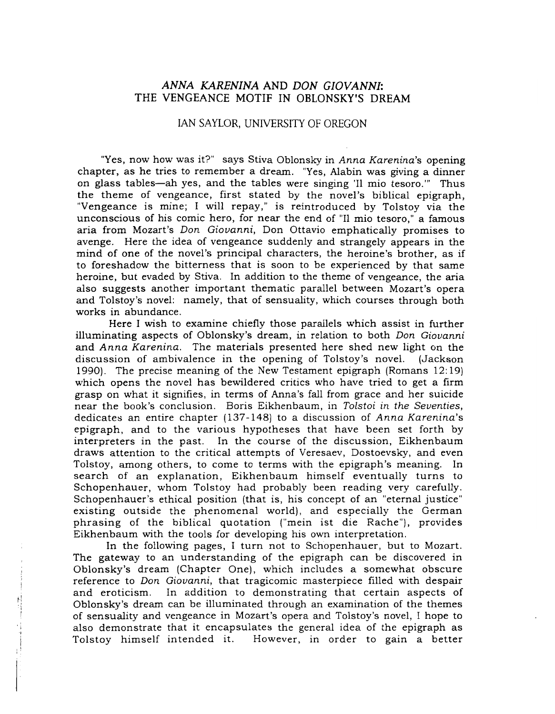## *ANNA KARENINA* AND *DON GIOVANNI:* THE VENGEANCE MOTIF IN OBLONSKY'S DREAM

## IAN SAYLOR, UNIVERSITY OF OREGON

"Yes, now how was it?" says Stiva Obionsky in *Anna Karenina's* opening chapter, as he tries to remember a dream. "Yes, Alabin was giving a dinner on glass tables—ah yes, and the tables were singing 'Il mio tesoro.'" Thus the theme of vengeance, first stated by the novel's biblical epigraph, "Vengeance is mine; I will repay," is reintroduced by Tolstoy via the unconscious of his comic hero, for near the end of "11 mio tesoro," a famous aria from Mozart's *Don Giovanni,* Don Ottavio emphatically promises to avenge. Here the idea of vengeance suddenly and strangely appears in the mind of one of the novel's principal characters, the heroine's brother, as if to foreshadow the bitterness that is soon to be experienced by that same heroine, but evaded by Stiva. In addition to the theme of vengeance, the aria also suggests another important thematic parallel between Mozart's opera and Tolstoy's novel: namely, that of sensuality, which courses through both works in abundance.

Here I wish to examine chiefly those parallels which assist in further illuminating aspects of Oblonsky's dream, in relation to both *Don Giovanni* and *Anna Karenina.* The materials presented here shed new light on the discussion of ambivalence in the opening of Tolstoy's novel. (Jackson 1990). The precise meaning of the New Testament epigraph (Romans 12: 19) which opens the novel has bewildered critics who have tried to get a firm grasp on what it signifies, in terms of Anna's fall from grace and her suicide near the book's conclusion. Boris Eikhenbaum, in *Tolstoi in the Seventies,* dedicates an entire chapter (137-148) to a discussion of *Anna Karenina's* epigraph, and to the various hypotheses that have been set forth by interpreters in the past. In the course of the discussion, Eikhenbaum draws attention to the critical attempts of Veresaev, Dostoevsky, and even Tolstoy, among others, to come to terms with the epigraph's meaning. In search of an explanation, Eikhenbaum himself eventually turns to Schopenhauer, whom Tolstoy had probably been reading very carefully. Schopenhauer's ethical position (that is, his concept of an "eternal justice" existing outside the phenomenal world), and especially the German phrasing of the biblical quotation ("mein ist die Rache"), provides Eikhenbaum with the tools for developing his own interpretation.

In the following pages, I turn not to Schopenhauer, but to Mozart. The gateway to an understanding of the epigraph can be discovered in Oblonsky's dream (Chapter One), which includes a somewhat obscure reference to *Don Giovanni,* that tragicomic masterpiece filled with despair and eroticism. In addition to demonstrating that certain aspects of Oblonsky's dream can be illuminated through an examination of the themes of sensuality and vengeance in Mozart's opera and Tolstoy's novel, I hope to also demonstrate that it encapsulates the general idea of the epigraph as Tolstoy himself intended it. However, in order to gain a better

., I I II I,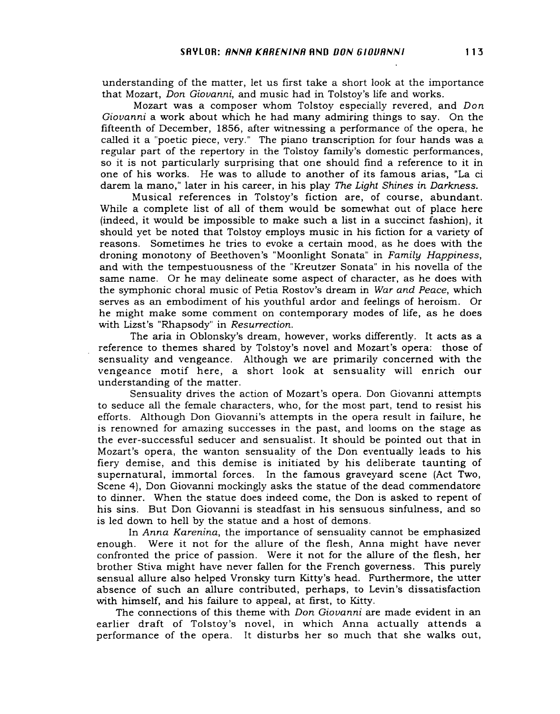understanding of the matter, let us first take a short look at the importance that Mozart, *Don Giovanni,* and music had in Tolstoy's life and works.

Mozart was a composer whom Tolstoy especially revered, and *Don Giovanni* a work about which he had many admiring things to say. On the fifteenth of December, 1856, after witnessing a performance of the opera, he called it a "poetic piece, very." The piano transcription for four hands was a regular part of the repertory in the Tolstoy family's domestic performances, so it is not particularly surprising that one should find a reference to it in one of his works. He was to allude to another of its famous arias, "La ci darem la mana," later in his career, in his play *The Light Shines in Darkness.*

Musical references in Tolstoy's fiction are, of course, abundant. While a complete list of all of them would be somewhat out of place here (indeed, it would be impossible to make such a list in a succinct fashion), it should yet be noted that Tolstoy employs music in his fiction for a variety of reasons. Sometimes he tries to evoke a certain mood, as he does with the droning monotony of Beethoven's "Moonlight Sonata" in *Family Happiness,* and with the tempestuousness of the "Kreutzer Sonata" in his novella of the same name. Or he may delineate some aspect of character, as he does with the symphonic choral music of Petia Rostov's dream in *War and Peace,* which serves as an embodiment of his youthful ardor and feelings of heroism. Or he might make some comment on contemporary modes of life, as he does with Lizst's "Rhapsody" in *Resurrection.*

The aria in Oblonsky's dream, however, works differently. It acts as a reference to themes shared by Tolstoy's novel and Mozart's opera: those of sensuality and vengeance. Although we are primarily concerned with the vengeance motif here, a short look at sensuality will enrich our understanding of the matter.

Sensuality drives the action of Mozart's opera. Don Giovanni attempts to seduce all the female characters, who, for the most part, tend to resist his efforts. Although Don Giovanni's attempts in the opera result in failure, he is renowned for amazing successes in the past, and looms on the stage as the ever-successful seducer and sensualist. It should be pointed out that in Mozart's opera, the wanton sensuality of the Don eventually leads to his fiery demise, and this demise is initiated by his deliberate taunting of supernatural, immortal forces. In the famous graveyard scene (Act Two, Scene 4), Don Giovanni mockingly asks the statue of the dead commendatore to dinner. When the statue does indeed come, the Don is asked to repent of his sins. But Don Giovanni is steadfast in his sensuous sinfulness, and so is led down to hell by the statue and a host of demons.

In *Anna Karenina,* the importance of sensuality cannot be emphasized enough. Were it not for the allure of the flesh, Anna might have never confronted the price of passion. Were it not for the allure of the flesh, her brother Stiva might have never fallen for the French governess. This purely sensual allure also helped Vronsky turn Kitty's head. Furthermore, the utter absence of such an allure contributed, perhaps, to Levin's dissatisfaction with himself, and his failure to appeal, at first, to Kitty.

The connections of this theme with Don *Giovanni* are made evident in an earlier draft of Tolstoy's novel, in which Anna actually attends a performance of the opera. It disturbs her so much that she walks out,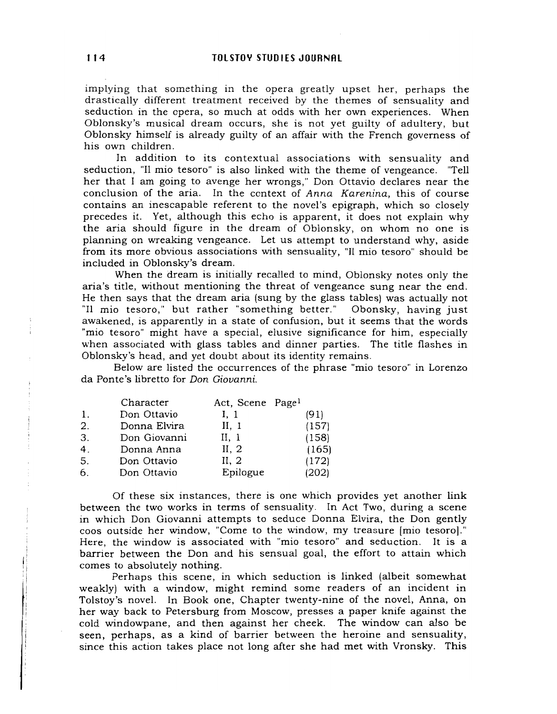implying that something in the opera greatly upset her, perhaps the drastically different treatment received by the themes of sensuality and seduction in the opera, so much at odds with her own experiences. When Oblonsky's musical dream occurs, she is not yet guilty of adultery, but Oblonsky himself is already guilty of an affair with the French governess of his own children.

In addition to its contextual associations with sensuality and seduction, "II mio tesoro" is also linked with the theme of vengeance. "Tell her that I am going to avenge her wrongs," Don Ottavio declares near the conclusion of the aria. In the context of *Anna Karenina,* this of course contains an inescapable referent to the novel's epigraph, which so closely precedes it. Yet, although this echo is apparent, it does not explain why the aria should figure in the dream of Oblonsky, on whom no one is planning on wreaking vengeance. Let us attempt to understand why, aside from its more obvious associations with sensuality, "II mio tesoro" should be included in Oblonsky's dream.

When the dream is initially recalled to mind, Oblonsky notes only the aria's title, without mentioning the threat of vengeance sung near the end. He then says that the dream aria (sung by the glass tables) was actually not "II mio tesoro," but rather "something better." Obonsky, having just awakened, is apparently in a state of confusion, but it seems that the words "mio tesoro" might have a special, elusive significance for him, especially when associated with glass tables and dinner parties. The title flashes in Oblonsky's head, and yet doubt about its identity remains.

Below are listed the occurrences of the phrase "mio tesoro" in Lorenzo da Ponte's libretto for *Don Giovanni.*

|                | Character    | Act, Scene Page <sup>1</sup> |       |
|----------------|--------------|------------------------------|-------|
| $\mathbf{1}$ . | Don Ottavio  | I, 1                         | (91)  |
| 2.             | Donna Elvira | II, 1                        | (157) |
| 3.             | Don Giovanni | II, 1                        | (158) |
| 4.             | Donna Anna   | II, 2                        | (165) |
| 5.             | Don Ottavio  | II, 2                        | (172) |
| 6.             | Don Ottavio  | Epilogue                     | (202) |

Of these six instances, there is one which provides yet another link between the two works in terms of sensuality. In Act Two, during a scene in which Don Giovanni attempts to seduce Donna Elvira, the Don gently coos outside her window, "Come to the window, my treasure [mio tesoro]." Here, the window is associated with "mio tesoro" and seduction. It is a barrier between the Don and his sensual goal, the effort to attain which comes to absolutely nothing.

Perhaps this scene, in which seduction is linked (albeit somewhat weakly) with a window, might remind some readers of an incident in Tolstoy's novel. In Book one, Chapter twenty-nine of the novel, Anna, on her way back to Petersburg from Moscow, presses a paper knife against the cold windowpane, and then against her cheek. The window can also be seen, perhaps, as a kind of barrier between the heroine and sensuality, since this action takes place not long after she had met with Vronsky. This

Iii!

fl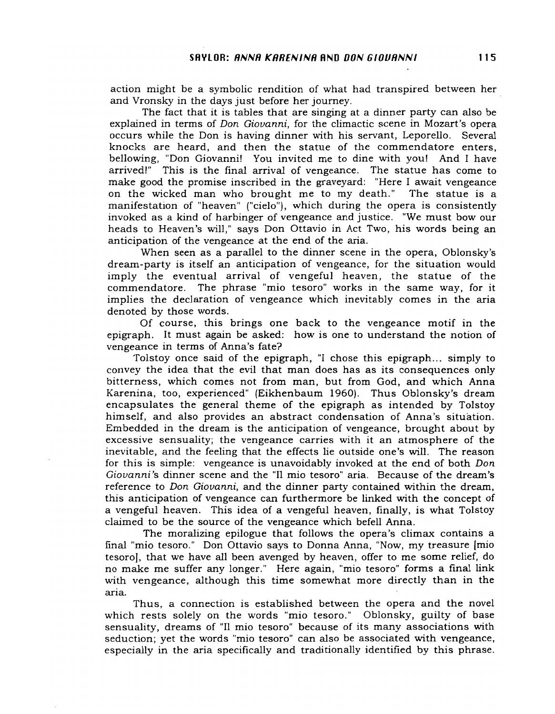action might be a symbolic rendition of what had transpired between her and Vronsky in the days just before her journey.

The fact that it is tables that are singing at a dinner party can also be explained in terms of *Don Giovanni,* for the climactic scene in Mozart's opera occurs while the Don is having dinner with his servant, Leporello. Several knocks are heard, and then the statue of the commendatore enters, bellowing, "Don Giovanni! You invited me to dine with you! And I have arrived!" This is the final arrival of vengeance. The statue has come to make good the promise inscribed in the graveyard: "Here I await vengeance on the wicked man who brought me to my death." The statue is a manifestation of "heaven" ("cielo"), which during the opera is consistently invoked as a kind of harbinger of vengeance and justice. "We must bow our heads to Heaven's will," says Don Ottavio in Act Two, his words being an anticipation of the vengeance at the end of the aria.

When seen as a parallel to the dinner scene in the opera, Oblonsky's dream-party is itself an anticipation of vengeance, for the situation would imply the eventual arrival of vengeful heaven, the statue of the commendatore. The phrase "mio tesoro" works in the same way, for it implies the declaration of vengeance which inevitably comes in the aria denoted by those words.

Of course, this brings one back to the vengeance motif in the epigraph. It must again be asked: how is one to understand the notion of vengeance in terms of Anna's fate?

Tolstoy once said of the epigraph, "I chose this epigraph... simply to convey the idea that the evil that man does has as its consequences only bitterness, which comes not from man, but from God, and which Anna Karenina, too, experienced" (Eikhenbaum 1960). Thus Oblonsky's dream encapsulates the general theme of the epigraph as intended by Tolstoy himself, and also provides an abstract condensation of Anna's situation. Embedded in the dream is the anticipation of vengeance, brought about by excessive sensuality; the vengeance carries with it an atmosphere of the inevitable, and the feeling that the effects lie outside one's will. The reason for this is simple: vengeance is unavoidably invoked at the end of both *Don Giovanni's* dinner scene and the "II mio tesoro" aria. Because of the dream's reference to *Don Giovanni,* and the dinner party contained within the dream, this anticipation of vengeance can furthermore be linked with the concept of a vengeful heaven. This idea of a vengeful heaven, finally, is what Tolstoy claimed to be the source of the vengeance which befell Anna.

The moralizing epilogue that follows the opera's climax contains a final "mio tesoro." Don Ottavio says to Donna Anna, "Now, my treasure [mio tesoro], that we have all been avenged by heaven, offer to me some relief, do no make me suffer any longer." Here again, "mio tesoro" forms a final link with vengeance, although this time somewhat more directly than in the aria.

Thus, a connection is established between the opera and the novel which rests solely on the words "mio tesoro." Oblonsky, guilty of base sensuality, dreams of "II mio tesoro" because of its many associations with seduction; yet the words "mio tesoro" can also be associated with vengeance, especially in the aria specifically and traditionally identified by this phrase.